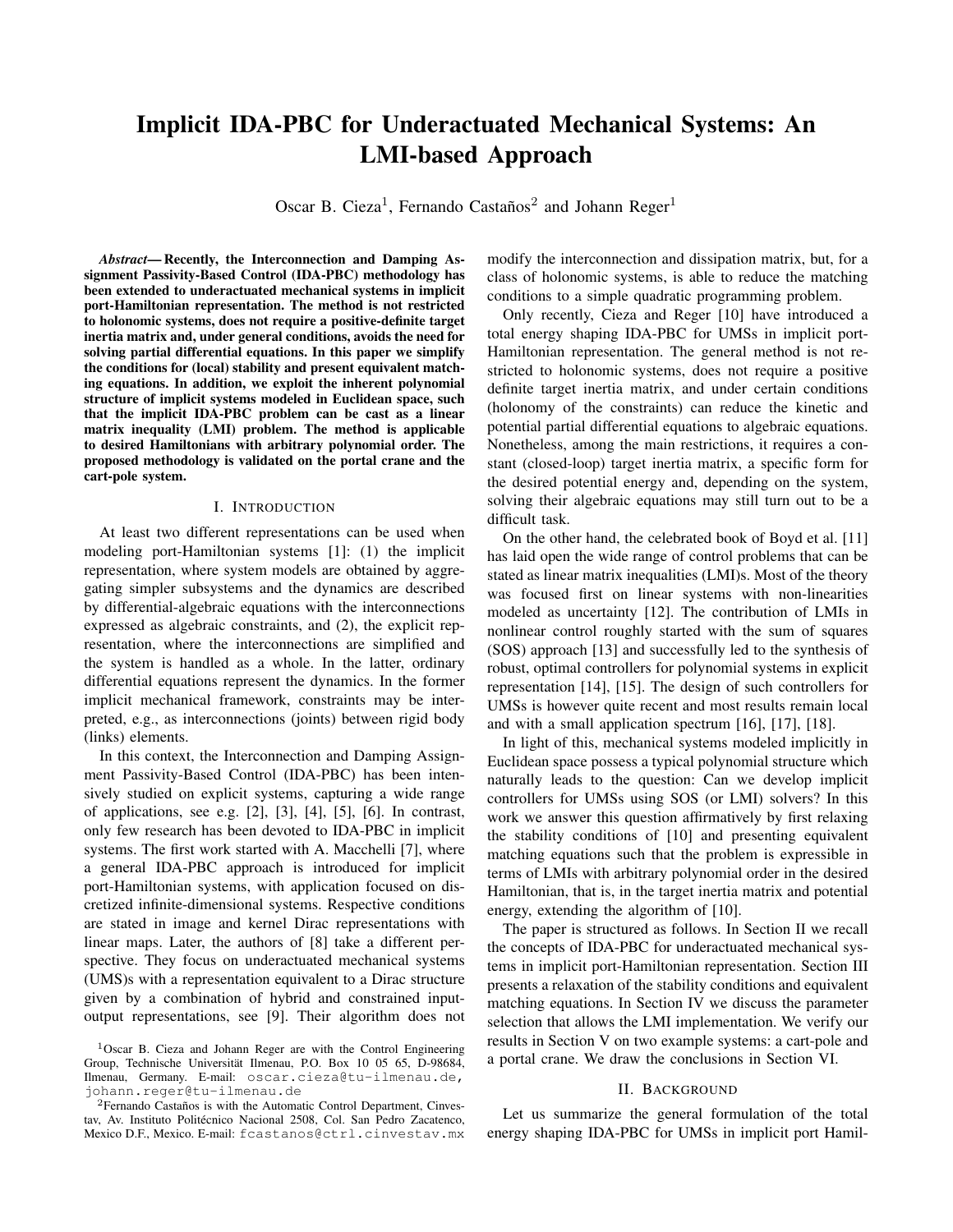# Implicit IDA-PBC for Underactuated Mechanical Systems: An LMI-based Approach

Oscar B. Cieza<sup>1</sup>, Fernando Castaños<sup>2</sup> and Johann Reger<sup>1</sup>

*Abstract*— Recently, the Interconnection and Damping Assignment Passivity-Based Control (IDA-PBC) methodology has been extended to underactuated mechanical systems in implicit port-Hamiltonian representation. The method is not restricted to holonomic systems, does not require a positive-definite target inertia matrix and, under general conditions, avoids the need for solving partial differential equations. In this paper we simplify the conditions for (local) stability and present equivalent matching equations. In addition, we exploit the inherent polynomial structure of implicit systems modeled in Euclidean space, such that the implicit IDA-PBC problem can be cast as a linear matrix inequality (LMI) problem. The method is applicable to desired Hamiltonians with arbitrary polynomial order. The proposed methodology is validated on the portal crane and the cart-pole system.

#### I. INTRODUCTION

At least two different representations can be used when modeling port-Hamiltonian systems [1]: (1) the implicit representation, where system models are obtained by aggregating simpler subsystems and the dynamics are described by differential-algebraic equations with the interconnections expressed as algebraic constraints, and (2), the explicit representation, where the interconnections are simplified and the system is handled as a whole. In the latter, ordinary differential equations represent the dynamics. In the former implicit mechanical framework, constraints may be interpreted, e.g., as interconnections (joints) between rigid body (links) elements.

In this context, the Interconnection and Damping Assignment Passivity-Based Control (IDA-PBC) has been intensively studied on explicit systems, capturing a wide range of applications, see e.g. [2], [3], [4], [5], [6]. In contrast, only few research has been devoted to IDA-PBC in implicit systems. The first work started with A. Macchelli [7], where a general IDA-PBC approach is introduced for implicit port-Hamiltonian systems, with application focused on discretized infinite-dimensional systems. Respective conditions are stated in image and kernel Dirac representations with linear maps. Later, the authors of [8] take a different perspective. They focus on underactuated mechanical systems (UMS)s with a representation equivalent to a Dirac structure given by a combination of hybrid and constrained inputoutput representations, see [9]. Their algorithm does not modify the interconnection and dissipation matrix, but, for a class of holonomic systems, is able to reduce the matching conditions to a simple quadratic programming problem.

Only recently, Cieza and Reger [10] have introduced a total energy shaping IDA-PBC for UMSs in implicit port-Hamiltonian representation. The general method is not restricted to holonomic systems, does not require a positive definite target inertia matrix, and under certain conditions (holonomy of the constraints) can reduce the kinetic and potential partial differential equations to algebraic equations. Nonetheless, among the main restrictions, it requires a constant (closed-loop) target inertia matrix, a specific form for the desired potential energy and, depending on the system, solving their algebraic equations may still turn out to be a difficult task.

On the other hand, the celebrated book of Boyd et al. [11] has laid open the wide range of control problems that can be stated as linear matrix inequalities (LMI)s. Most of the theory was focused first on linear systems with non-linearities modeled as uncertainty [12]. The contribution of LMIs in nonlinear control roughly started with the sum of squares (SOS) approach [13] and successfully led to the synthesis of robust, optimal controllers for polynomial systems in explicit representation [14], [15]. The design of such controllers for UMSs is however quite recent and most results remain local and with a small application spectrum [16], [17], [18].

In light of this, mechanical systems modeled implicitly in Euclidean space possess a typical polynomial structure which naturally leads to the question: Can we develop implicit controllers for UMSs using SOS (or LMI) solvers? In this work we answer this question affirmatively by first relaxing the stability conditions of [10] and presenting equivalent matching equations such that the problem is expressible in terms of LMIs with arbitrary polynomial order in the desired Hamiltonian, that is, in the target inertia matrix and potential energy, extending the algorithm of [10].

The paper is structured as follows. In Section II we recall the concepts of IDA-PBC for underactuated mechanical systems in implicit port-Hamiltonian representation. Section III presents a relaxation of the stability conditions and equivalent matching equations. In Section IV we discuss the parameter selection that allows the LMI implementation. We verify our results in Section V on two example systems: a cart-pole and a portal crane. We draw the conclusions in Section VI.

### II. BACKGROUND

Let us summarize the general formulation of the total energy shaping IDA-PBC for UMSs in implicit port Hamil-

<sup>1</sup>Oscar B. Cieza and Johann Reger are with the Control Engineering Group, Technische Universität Ilmenau, P.O. Box 10 05 65, D-98684, Ilmenau, Germany. E-mail: oscar.cieza@tu-ilmenau.de, johann.reger@tu-ilmenau.de

 $2$ Fernando Castaños is with the Automatic Control Department, Cinvestav, Av. Instituto Politécnico Nacional 2508, Col. San Pedro Zacatenco, Mexico D.F., Mexico. E-mail: fcastanos@ctrl.cinvestav.mx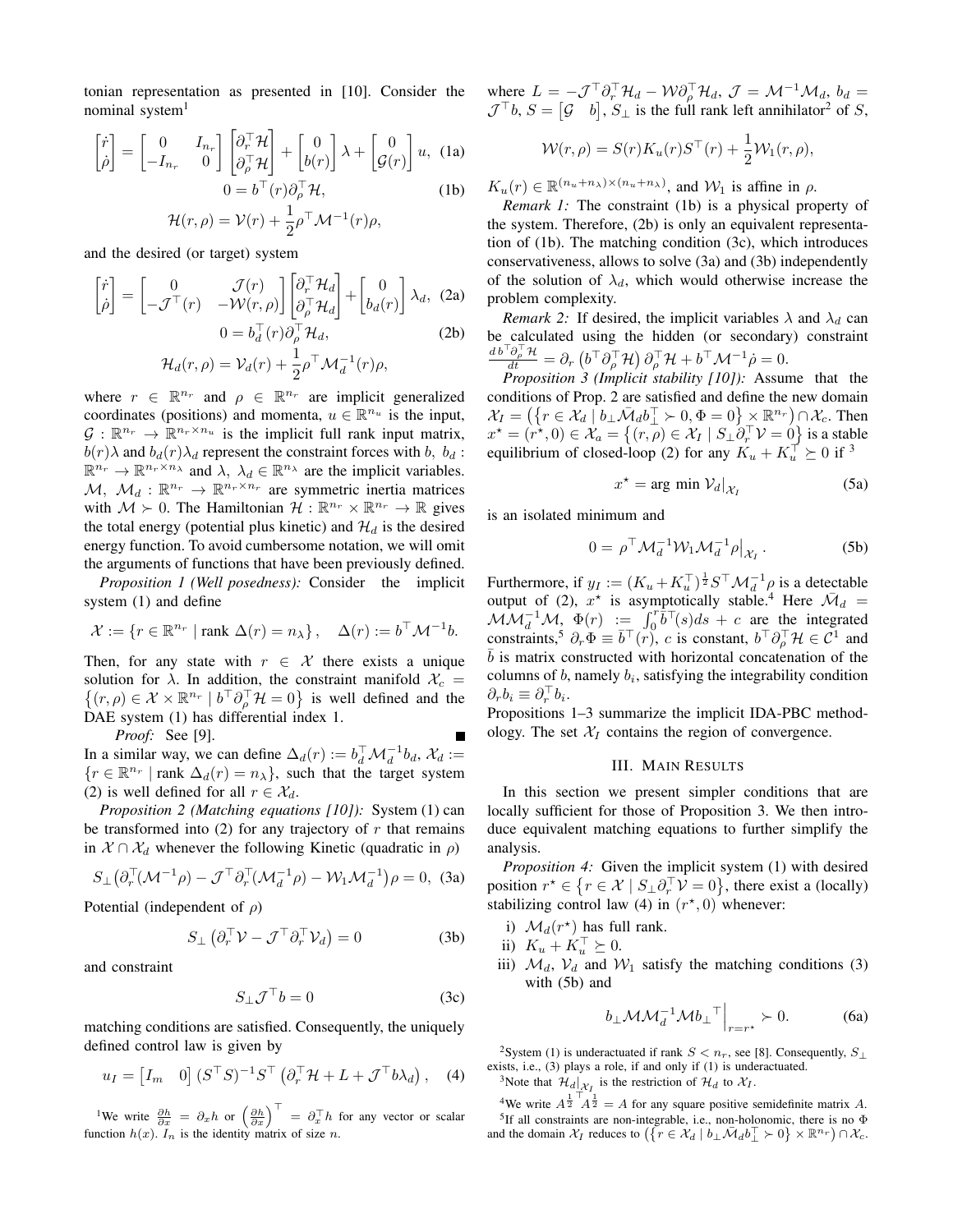tonian representation as presented in [10]. Consider the nominal system<sup>1</sup>

$$
\begin{bmatrix} \dot{r} \\ \dot{\rho} \end{bmatrix} = \begin{bmatrix} 0 & I_{n_r} \\ -I_{n_r} & 0 \end{bmatrix} \begin{bmatrix} \partial_r^\top \mathcal{H} \\ \partial_\rho^\top \mathcal{H} \end{bmatrix} + \begin{bmatrix} 0 \\ b(r) \end{bmatrix} \lambda + \begin{bmatrix} 0 \\ \mathcal{G}(r) \end{bmatrix} u, \text{ (1a)} \n0 = b^\top(r) \partial_\rho^\top \mathcal{H}, \text{ (1b)}
$$

$$
\mathcal{H}(r,\rho) = \mathcal{V}(r) + \frac{1}{2}\rho^{\top} \mathcal{M}^{-1}(r)\rho,
$$

and the desired (or target) system

$$
\begin{bmatrix} \dot{r} \\ \dot{\rho} \end{bmatrix} = \begin{bmatrix} 0 & \mathcal{J}(r) \\ -\mathcal{J}^{\top}(r) & -\mathcal{W}(r,\rho) \end{bmatrix} \begin{bmatrix} \partial_r^{\top} \mathcal{H}_d \\ \partial_{\rho}^{\top} \mathcal{H}_d \end{bmatrix} + \begin{bmatrix} 0 \\ b_d(r) \end{bmatrix} \lambda_d, \quad (2a)
$$

$$
0 = b_d^{\top}(r) \partial_{\rho}^{\top} \mathcal{H}_d, \quad (2b)
$$

$$
\mathcal{H}_d(r,\rho) = \mathcal{V}_d(r) + \frac{1}{2} \rho^{\top} \mathcal{M}_d^{-1}(r) \rho,
$$

where  $r \in \mathbb{R}^{n_r}$  and  $\rho \in \mathbb{R}^{n_r}$  are implicit generalized coordinates (positions) and momenta,  $u \in \mathbb{R}^{n_u}$  is the input,  $\mathcal{G}: \mathbb{R}^{n_r} \to \mathbb{R}^{n_r \times n_u}$  is the implicit full rank input matrix,  $b(r)\lambda$  and  $b_d(r)\lambda_d$  represent the constraint forces with b,  $b_d$ :  $\mathbb{R}^{n_r} \to \mathbb{R}^{n_r \times n_\lambda}$  and  $\lambda$ ,  $\lambda_d \in \mathbb{R}^{n_\lambda}$  are the implicit variables.  $\mathcal{M}, \mathcal{M}_d : \mathbb{R}^{n_r} \to \mathbb{R}^{n_r \times n_r}$  are symmetric inertia matrices with  $\mathcal{M} \succ 0$ . The Hamiltonian  $\mathcal{H} : \mathbb{R}^{n_r} \times \mathbb{R}^{n_r} \to \mathbb{R}$  gives the total energy (potential plus kinetic) and  $\mathcal{H}_d$  is the desired energy function. To avoid cumbersome notation, we will omit the arguments of functions that have been previously defined.

*Proposition 1 (Well posedness):* Consider the implicit system (1) and define

$$
\mathcal{X} := \{ r \in \mathbb{R}^{n_r} \mid \text{rank } \Delta(r) = n_\lambda \}, \quad \Delta(r) := b^\top \mathcal{M}^{-1} b.
$$

Then, for any state with  $r \in \mathcal{X}$  there exists a unique solution for  $\lambda$ . In addition, the constraint manifold  $\mathcal{X}_c$  =  $\{(r,\rho)\in\mathcal{X}\times\mathbb{R}^{n_r} \mid b^\top\partial_\rho^\top\mathcal{H}=0\}$  is well defined and the DAE system (1) has differential index 1.

*Proof:* See [9].

In a similar way, we can define  $\Delta_d(r) := b_d^{\top} \mathcal{M}_d^{-1} b_d$ ,  $\mathcal{X}_d :=$  $\{r \in \mathbb{R}^{n_r} \mid \text{rank } \Delta_d(r) = n_\lambda\},\$  such that the target system (2) is well defined for all  $r \in \mathcal{X}_d$ .

*Proposition 2 (Matching equations [10]):* System (1) can be transformed into  $(2)$  for any trajectory of r that remains in  $\mathcal{X} \cap \mathcal{X}_d$  whenever the following Kinetic (quadratic in  $\rho$ )

$$
S_{\perp}(\partial_r^{\top}(\mathcal{M}^{-1}\rho) - \mathcal{J}^{\top}\partial_r^{\top}(\mathcal{M}_d^{-1}\rho) - \mathcal{W}_1\mathcal{M}_d^{-1})\rho = 0, \tag{3a}
$$

Potential (independent of  $\rho$ )

$$
S_{\perp} (\partial_r^{\top} \mathcal{V} - \mathcal{J}^{\top} \partial_r^{\top} \mathcal{V}_d) = 0
$$
 (3b)

and constraint

$$
S_{\perp} \mathcal{J}^{\top} b = 0 \tag{3c}
$$

matching conditions are satisfied. Consequently, the uniquely defined control law is given by

$$
u_I = \begin{bmatrix} I_m & 0 \end{bmatrix} (S^{\top} S)^{-1} S^{\top} (\partial_r^{\top} \mathcal{H} + L + \mathcal{J}^{\top} b \lambda_d), \quad (4)
$$

<sup>1</sup>We write  $\frac{\partial h}{\partial x} = \partial_x h$  or  $\left(\frac{\partial h}{\partial x}\right)^\top = \partial_x^\top h$  for any vector or scalar function  $h(x)$ .  $I_n$  is the identity matrix of size n.

where  $L = -\mathcal{J}^\top \partial_r^\top \mathcal{H}_d - \mathcal{W} \partial_\rho^\top \mathcal{H}_d$ ,  $\mathcal{J} = \mathcal{M}^{-1} \mathcal{M}_d$ ,  $b_d =$  $\mathcal{J}^\top b$ ,  $S = [\mathcal{G} \quad b]$ ,  $S_\perp$  is the full rank left annihilator<sup>2</sup> of S,

$$
\mathcal{W}(r,\rho) = S(r)K_u(r)S^{\top}(r) + \frac{1}{2}\mathcal{W}_1(r,\rho),
$$

 $K_u(r) \in \mathbb{R}^{(n_u+n_\lambda)\times(n_u+n_\lambda)}$ , and  $\mathcal{W}_1$  is affine in  $\rho$ .

*Remark 1:* The constraint (1b) is a physical property of the system. Therefore, (2b) is only an equivalent representation of (1b). The matching condition (3c), which introduces conservativeness, allows to solve (3a) and (3b) independently of the solution of  $\lambda_d$ , which would otherwise increase the problem complexity.

*Remark 2:* If desired, the implicit variables  $\lambda$  and  $\lambda_d$  can be calculated using the hidden (or secondary) constraint  $\frac{d\,b^\top \partial^\top_\rho \mathcal{H}}{dt} = \partial_r \left( b^\top \partial^\top_\rho \mathcal{H} \right) \partial^\top_\rho \mathcal{H} + b^\top \mathcal{M}^{-1} \dot{\rho} = 0.$ 

*Proposition 3 (Implicit stability [10]):* Assume that the conditions of Prop. 2 are satisfied and define the new domain  $\mathcal{X}_I = \left( \left\{ r \in \mathcal{X}_d \mid b_\perp \bar{\mathcal{M}}_d b_\perp^\top \succ 0, \Phi = 0 \right\} \times \mathbb{R}^{n_r} \right) \cap \mathcal{X}_c$ . Then  $x^* = (r^*, 0) \in \mathcal{X}_a = \{(r, \rho) \in \mathcal{X}_I \mid S_\perp \hat{\partial}_r^\top \mathcal{V} = 0\}$  is a stable equilibrium of closed-loop (2) for any  $K_u + K_u^{\top} \succeq 0$  if <sup>3</sup>

$$
x^* = \arg\min \mathcal{V}_d|_{\mathcal{X}_I} \tag{5a}
$$

is an isolated minimum and

$$
0 = \rho^{\top} \mathcal{M}_d^{-1} \mathcal{W}_1 \mathcal{M}_d^{-1} \rho \big|_{\mathcal{X}_I} \,. \tag{5b}
$$

Furthermore, if  $y_I := (K_u + K_u^{\top})^{\frac{1}{2}} S^{\top} \mathcal{M}_d^{-1} \rho$  is a detectable output of (2),  $x^*$  is asymptotically stable.<sup>4</sup> Here  $\bar{M}_d$  =  $\mathcal{MM}_d^{-1}\mathcal{M}, \Phi(r) := \int_0^r \overline{b}^\top(s)ds + c$  are the integrated constraints,<sup>5</sup>  $\partial_r \Phi \equiv \overline{b}^\top(r)$ , c is constant,  $b^\top \partial_\rho^\top \mathcal{H} \in \mathcal{C}^1$  and  $\overline{b}$  is matrix constructed with horizontal concatenation of the columns of  $b$ , namely  $b_i$ , satisfying the integrability condition  $\partial_r b_i \equiv \partial_r^{\top} b_i.$ 

Propositions 1–3 summarize the implicit IDA-PBC methodology. The set  $X_I$  contains the region of convergence.

#### III. MAIN RESULTS

In this section we present simpler conditions that are locally sufficient for those of Proposition 3. We then introduce equivalent matching equations to further simplify the analysis.

*Proposition 4:* Given the implicit system (1) with desired position  $r^* \in \{r \in \mathcal{X} \mid S_\perp \partial_r^\top \mathcal{V} = 0\}$ , there exist a (locally) stabilizing control law (4) in  $(r*,0)$  whenever:

- i)  $\mathcal{M}_d(r^*)$  has full rank.
- ii)  $K_u + K_u^{\top} \succeq 0.$
- iii)  $\mathcal{M}_d$ ,  $\mathcal{V}_d$  and  $\mathcal{W}_1$  satisfy the matching conditions (3) with (5b) and

$$
b_{\perp} \mathcal{M} \mathcal{M}_d^{-1} \mathcal{M} b_{\perp}^{\top} \Big|_{r=r^*} \succ 0. \tag{6a}
$$

<sup>2</sup>System (1) is underactuated if rank  $S < n_r$ , see [8]. Consequently,  $S_{\perp}$ exists, i.e., (3) plays a role, if and only if (1) is underactuated.

<sup>3</sup>Note that  $\mathcal{H}_d|_{\mathcal{X}_I}$  is the restriction of  $\mathcal{H}_d$  to  $\mathcal{X}_I$ .

<sup>4</sup>We write  $A^{\frac{1}{2} + \hat{A}^{\frac{1}{2}}} = A$  for any square positive semidefinite matrix A. <sup>5</sup>If all constraints are non-integrable, i.e., non-holonomic, there is no  $\Phi$ and the domain  $\mathcal{X}_I$  reduces to  $(\lbrace r \in \mathcal{X}_d \mid b_\perp \bar{\mathcal{M}}_d b_\perp^{\top} \succ 0 \rbrace \times \mathbb{R}^{n_r}) \cap \mathcal{X}_c$ .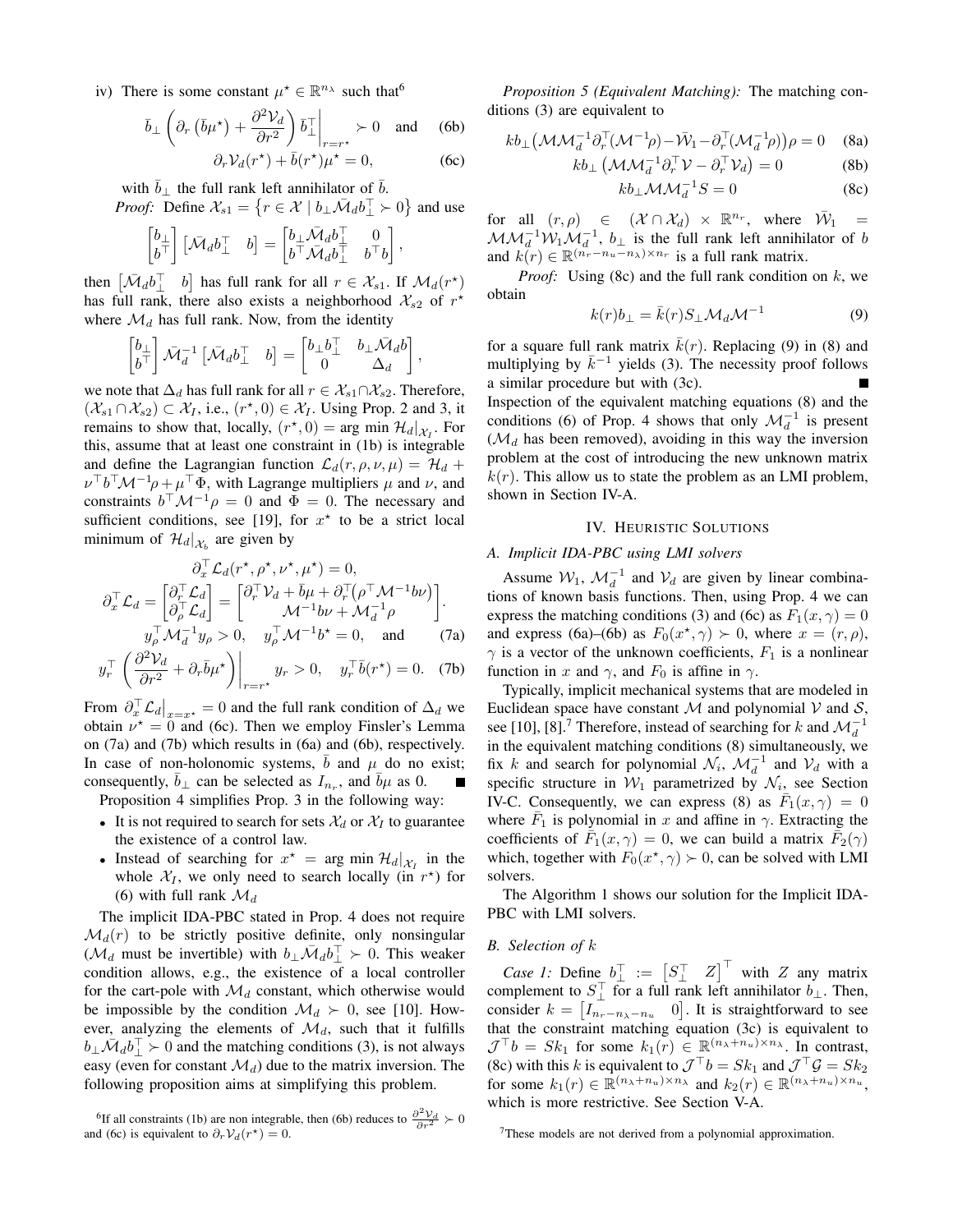iv) There is some constant  $\mu^* \in \mathbb{R}^{n_{\lambda}}$  such that

$$
\bar{b}_{\perp} \left( \partial_r \left( \bar{b} \mu^{\star} \right) + \frac{\partial^2 \mathcal{V}_d}{\partial r^2} \right) \bar{b}_{\perp}^{\perp} \Big|_{r=r^{\star}} \succ 0 \quad \text{and} \quad (6b)
$$
  

$$
\partial_r \mathcal{V}_d(r^{\star}) + \bar{b}(r^{\star}) \mu^{\star} = 0, \quad (6c)
$$

$$
O_r V_d(T) + o(T) \mu = 0,
$$

with  $b_\perp$  the full rank left annihilator of b.

*Proof:* Define 
$$
\mathcal{X}_{s1} = \{r \in \mathcal{X} \mid b_\perp \bar{\mathcal{M}}_d b_\perp^{\top} \succ 0\}
$$
 and use

$$
\begin{bmatrix} b_{\perp} \\ b^{\top} \end{bmatrix} \begin{bmatrix} \bar{\mathcal{M}}_d b_{\perp}^{\top} & b \end{bmatrix} = \begin{bmatrix} b_{\perp} \bar{\mathcal{M}}_d b_{\perp}^{\top} & 0 \\ b^{\top} \bar{\mathcal{M}}_d b_{\perp}^{\top} & b^{\top} b \end{bmatrix},
$$

then  $\begin{bmatrix} \bar{\mathcal{M}}_d b \end{bmatrix}$  b has full rank for all  $r \in \mathcal{X}_{s1}$ . If  $\mathcal{M}_d(r^*)$ has full rank, there also exists a neighborhood  $\mathcal{X}_{s2}$  of  $r^*$ where  $\mathcal{M}_d$  has full rank. Now, from the identity

$$
\begin{bmatrix} b_{\perp} \\ b^{\top} \end{bmatrix} \bar{\mathcal{M}}_d^{-1} \begin{bmatrix} \bar{\mathcal{M}}_d b_{\perp}^{\top} & b \end{bmatrix} = \begin{bmatrix} b_{\perp} b_{\perp}^{\top} & b_{\perp} \bar{\mathcal{M}}_d b \\ 0 & \Delta_d \end{bmatrix},
$$

we note that  $\Delta_d$  has full rank for all  $r \in \mathcal{X}_{s1} \cap \mathcal{X}_{s2}$ . Therefore,  $(\mathcal{X}_{s1} \cap \mathcal{X}_{s2}) \subset \mathcal{X}_I$ , i.e.,  $(r^*, 0) \in \mathcal{X}_I$ . Using Prop. 2 and 3, it remains to show that, locally,  $(r^*,0) = \arg \min \mathcal{H}_d|_{\mathcal{X}_I}$ . For this, assume that at least one constraint in (1b) is integrable and define the Lagrangian function  $\mathcal{L}_d(r, \rho, \nu, \mu) = \mathcal{H}_d +$  $\nu^{\top} b^{\top} \mathcal{M}^{-1} \rho + \mu^{\top} \Phi$ , with Lagrange multipliers  $\mu$  and  $\nu$ , and constraints  $b^{\top} \mathcal{M}^{-1} \rho = 0$  and  $\Phi = 0$ . The necessary and sufficient conditions, see [19], for  $x^*$  to be a strict local minimum of  $\mathcal{H}_d|_{\mathcal{X}_b}$  are given by

$$
\partial_x^{\top} \mathcal{L}_d(r^*, \rho^*, \nu^*, \mu^*) = 0,
$$
  
\n
$$
\partial_x^{\top} \mathcal{L}_d = \begin{bmatrix} \partial_r^{\top} \mathcal{L}_d \\ \partial_\rho^{\top} \mathcal{L}_d \end{bmatrix} = \begin{bmatrix} \partial_r^{\top} \mathcal{V}_d + \bar{b}\mu + \partial_r^{\top}(\rho^{\top}\mathcal{M}^{-1}b\nu) \\ \mathcal{M}^{-1}b\nu + \mathcal{M}_d^{-1}\rho \end{bmatrix}.
$$
  
\n
$$
y_\rho^{\top} \mathcal{M}_d^{-1} y_\rho > 0, \quad y_\rho^{\top} \mathcal{M}^{-1}b^* = 0, \quad \text{and} \quad (7a)
$$

$$
y_r^{\top} \left. \left( \frac{\partial^2 \mathcal{V}_d}{\partial r^2} + \partial_r \bar{b} \mu^{\star} \right) \right|_{r=r^{\star}} y_r > 0, \quad y_r^{\top} \bar{b}(r^{\star}) = 0. \quad (7b)
$$

From  $\partial_x^{\top} \mathcal{L}_d|_{x=x^*} = 0$  and the full rank condition of  $\Delta_d$  we obtain  $\nu^* = 0$  and (6c). Then we employ Finsler's Lemma on (7a) and (7b) which results in (6a) and (6b), respectively. In case of non-holonomic systems, b and  $\mu$  do no exist; consequently,  $\bar{b}_{\perp}$  can be selected as  $I_{n_r}$ , and  $\bar{b}_{\mu}$  as 0.

Proposition 4 simplifies Prop. 3 in the following way:

- It is not required to search for sets  $\mathcal{X}_d$  or  $\mathcal{X}_I$  to guarantee the existence of a control law.
- Instead of searching for  $x^* = \arg \min \mathcal{H}_d|_{\mathcal{X}_I}$  in the whole  $\mathcal{X}_I$ , we only need to search locally (in  $r^*$ ) for (6) with full rank  $\mathcal{M}_d$

The implicit IDA-PBC stated in Prop. 4 does not require  $\mathcal{M}_d(r)$  to be strictly positive definite, only nonsingular  $(\mathcal{M}_d$  must be invertible) with  $b_\perp \bar{\mathcal{M}}_d b_\perp^{\top} \succ 0$ . This weaker condition allows, e.g., the existence of a local controller for the cart-pole with  $\mathcal{M}_d$  constant, which otherwise would be impossible by the condition  $\mathcal{M}_d \succ 0$ , see [10]. However, analyzing the elements of  $\mathcal{M}_d$ , such that it fulfills  $b_\perp \bar{\mathcal{M}}_d b_\perp^{\top} \succ 0$  and the matching conditions (3), is not always easy (even for constant  $\mathcal{M}_d$ ) due to the matrix inversion. The following proposition aims at simplifying this problem.

*Proposition 5 (Equivalent Matching):* The matching conditions (3) are equivalent to

$$
kb_{\perp}(\mathcal{M}\mathcal{M}_d^{-1}\partial_r^{\top}(\mathcal{M}^{-1}\rho) - \bar{\mathcal{W}}_1 - \partial_r^{\top}(\mathcal{M}_d^{-1}\rho))\rho = 0 \quad (8a)
$$

$$
kb_{\perp} \left(\mathcal{M}\mathcal{M}_d^{-1}\partial_r^{\top}\mathcal{V} - \partial_r^{\top}\mathcal{V}_d\right) = 0 \tag{8b}
$$

$$
kb_{\perp} \mathcal{M} \mathcal{M}_d^{-1} S = 0 \tag{8c}
$$

for all  $(r, \rho) \in (\mathcal{X} \cap \mathcal{X}_d) \times \mathbb{R}^{n_r}$ , where  $\overline{\mathcal{W}}_1 =$  $\mathcal{MM}_d^{-1} \mathcal{W}_1 \mathcal{M}_d^{-1}$ ,  $b_\perp$  is the full rank left annihilator of b and  $k(r) \in \mathbb{R}^{(\overset{\circ}{n}_r - n_u - n_\lambda) \times n_r}$  is a full rank matrix.

*Proof:* Using (8c) and the full rank condition on k, we obtain

$$
k(r)b_{\perp} = \bar{k}(r)S_{\perp}\mathcal{M}_d\mathcal{M}^{-1} \tag{9}
$$

for a square full rank matrix  $k(r)$ . Replacing (9) in (8) and multiplying by  $\bar{k}^{-1}$  yields (3). The necessity proof follows a similar procedure but with (3c). Inspection of the equivalent matching equations (8) and the conditions (6) of Prop. 4 shows that only  $\mathcal{M}_d^{-1}$  is present  $(\mathcal{M}_d$  has been removed), avoiding in this way the inversion problem at the cost of introducing the new unknown matrix  $k(r)$ . This allow us to state the problem as an LMI problem, shown in Section IV-A.

#### IV. HEURISTIC SOLUTIONS

# *A. Implicit IDA-PBC using LMI solvers*

Assume  $W_1$ ,  $\mathcal{M}_d^{-1}$  and  $V_d$  are given by linear combinations of known basis functions. Then, using Prop. 4 we can express the matching conditions (3) and (6c) as  $F_1(x, \gamma) = 0$ and express (6a)–(6b) as  $F_0(x^*, \gamma) > 0$ , where  $x = (r, \rho)$ ,  $\gamma$  is a vector of the unknown coefficients,  $F_1$  is a nonlinear function in x and  $\gamma$ , and  $F_0$  is affine in  $\gamma$ .

Typically, implicit mechanical systems that are modeled in Euclidean space have constant  $M$  and polynomial  $V$  and  $S$ , see [10], [8].<sup>7</sup> Therefore, instead of searching for k and  $\mathcal{M}_d^{-1}$ in the equivalent matching conditions (8) simultaneously, we fix k and search for polynomial  $\mathcal{N}_i$ ,  $\mathcal{M}_d^{-1}$  and  $\mathcal{V}_d$  with a specific structure in  $W_1$  parametrized by  $\mathcal{N}_i$ , see Section IV-C. Consequently, we can express (8) as  $\overline{F}_1(x, \gamma) = 0$ where  $\bar{F}_1$  is polynomial in x and affine in  $\gamma$ . Extracting the coefficients of  $\overline{F}_1(x, \gamma) = 0$ , we can build a matrix  $\overline{F}_2(\gamma)$ which, together with  $F_0(x^*, \gamma) \succ 0$ , can be solved with LMI solvers.

The Algorithm 1 shows our solution for the Implicit IDA-PBC with LMI solvers.

## *B. Selection of* k

*Case 1:* Define  $b_{\perp}^{\top} := [S_{\perp}^{\top} \ Z]^{\top}$  with Z any matrix complement to  $S_{\perp}^{\top}$  for a full rank left annihilator  $b_{\perp}$ . Then, consider  $k = [I_{n_r-n_\lambda-n_u} \quad 0]$ . It is straightforward to see that the constraint matching equation (3c) is equivalent to  $\mathcal{J}^{\top}b = Sk_1$  for some  $k_1(r) \in \mathbb{R}^{(n_{\lambda}+n_u)\times n_{\lambda}}$ . In contrast, (8c) with this k is equivalent to  $\mathcal{J}^\top b = S k_1$  and  $\mathcal{J}^\top \mathcal{G} = S k_2$ for some  $k_1(r) \in \mathbb{R}^{(n_{\lambda}+n_u)\times n_{\lambda}}$  and  $k_2(r) \in \mathbb{R}^{(n_{\lambda}+n_u)\times n_u}$ , which is more restrictive. See Section V-A.

<sup>&</sup>lt;sup>6</sup>If all constraints (1b) are non integrable, then (6b) reduces to  $\frac{\partial^2 V_d}{\partial r^2} > 0$ and (6c) is equivalent to  $\partial_r \mathcal{V}_d(r^*) = 0$ .

 $7$ These models are not derived from a polynomial approximation.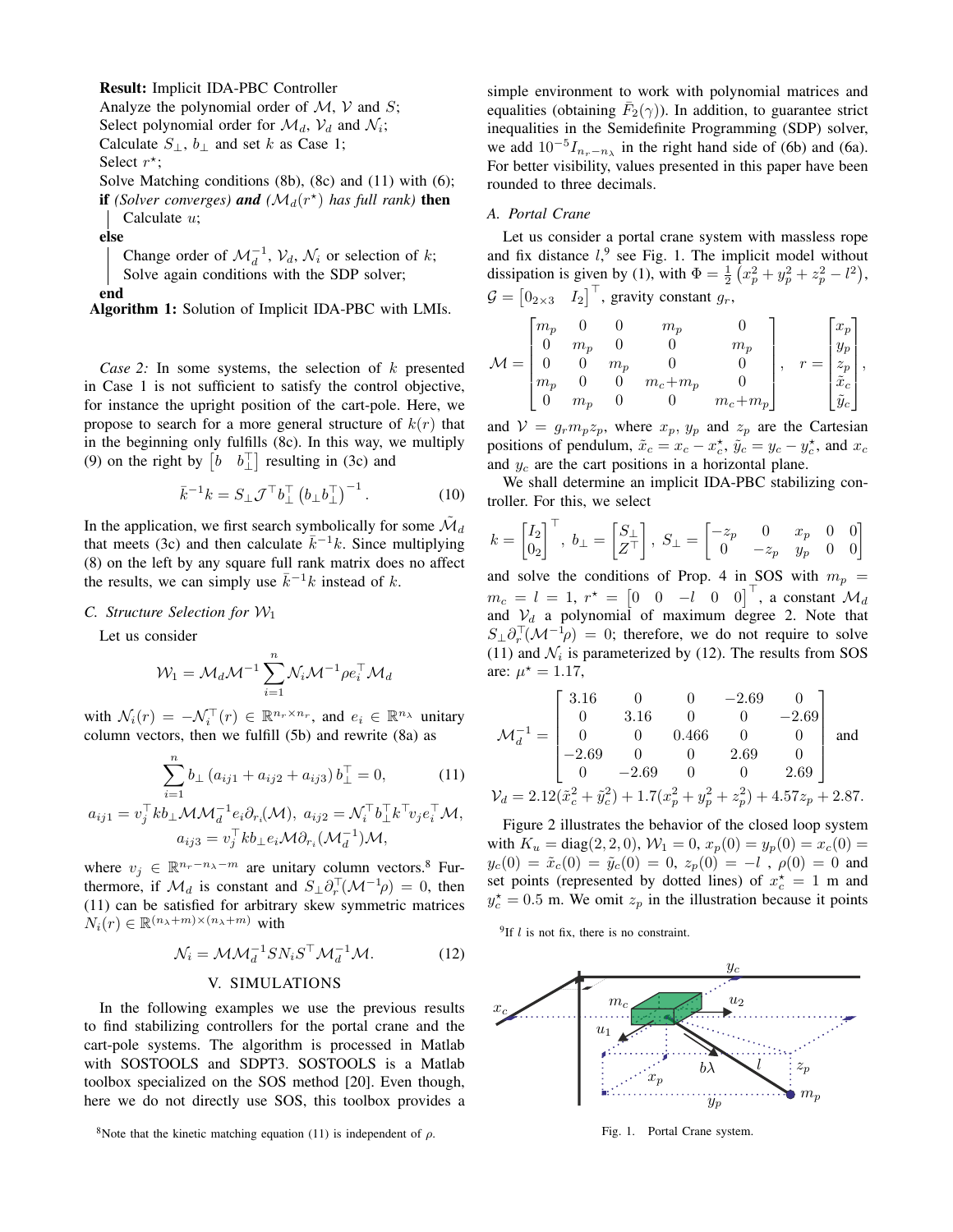#### Result: Implicit IDA-PBC Controller

Analyze the polynomial order of  $M$ ,  $V$  and  $S$ ;

Select polynomial order for  $\mathcal{M}_d$ ,  $\mathcal{V}_d$  and  $\mathcal{N}_i$ ;

Calculate  $S_{\perp}$ ,  $b_{\perp}$  and set k as Case 1;

Select  $r^*$ ;

Solve Matching conditions (8b), (8c) and (11) with (6); if *(Solver converges)* and  $(M_d(r^*))$  has full rank) then Calculate u;

else

Change order of  $\mathcal{M}_d^{-1}$ ,  $\mathcal{V}_d$ ,  $\mathcal{N}_i$  or selection of k; Solve again conditions with the SDP solver;

end

Algorithm 1: Solution of Implicit IDA-PBC with LMIs.

*Case 2:* In some systems, the selection of k presented in Case 1 is not sufficient to satisfy the control objective, for instance the upright position of the cart-pole. Here, we propose to search for a more general structure of  $k(r)$  that in the beginning only fulfills (8c). In this way, we multiply (9) on the right by  $\begin{bmatrix} b & b \end{bmatrix}$  resulting in (3c) and

$$
\bar{k}^{-1}k = S_{\perp} \mathcal{J}^{\top} b_{\perp}^{\top} (b_{\perp} b_{\perp}^{\top})^{-1}.
$$
 (10)

In the application, we first search symbolically for some  $\tilde{\mathcal{M}}_d$ that meets (3c) and then calculate  $\overline{k}^{-1}k$ . Since multiplying (8) on the left by any square full rank matrix does no affect the results, we can simply use  $\bar{k}^{-1}k$  instead of k.

### *C. Structure Selection for* W<sup>1</sup>

Let us consider

$$
\mathcal{W}_1 = \mathcal{M}_d \mathcal{M}^{-1} \sum_{i=1}^n \mathcal{N}_i \mathcal{M}^{-1} \rho e_i^\top \mathcal{M}_d
$$

with  $\mathcal{N}_i(r) = -\mathcal{N}_i^{\top}(r) \in \mathbb{R}^{n_r \times n_r}$ , and  $e_i \in \mathbb{R}^{n_\lambda}$  unitary column vectors, then we fulfill (5b) and rewrite (8a) as

$$
\sum_{i=1}^{n} b_{\perp} (a_{ij1} + a_{ij2} + a_{ij3}) b_{\perp}^{T} = 0, \qquad (11)
$$

$$
a_{ij1} = v_j^{\top} k b_{\perp} \mathcal{M} \mathcal{M}_d^{-1} e_i \partial_{r_i}(\mathcal{M}), \ a_{ij2} = \mathcal{N}_i^{\top} b_{\perp}^{\top} k^{\top} v_j e_i^{\top} \mathcal{M},
$$

$$
a_{ij3} = v_j^{\top} k b_{\perp} e_i \mathcal{M} \partial_{r_i}(\mathcal{M}_d^{-1}) \mathcal{M},
$$

where  $v_j \in \mathbb{R}^{n_r - n_{\lambda} - m}$  are unitary column vectors.<sup>8</sup> Furthermore, if  $\mathcal{M}_d$  is constant and  $S_\perp \partial_r^\top (\mathcal{M}^{-1} \rho) = 0$ , then (11) can be satisfied for arbitrary skew symmetric matrices  $N_i(r) \in \mathbb{R}^{(n_{\lambda}+m) \times (n_{\lambda}+m)}$  with

$$
\mathcal{N}_i = \mathcal{M}\mathcal{M}_d^{-1} S N_i S^\top \mathcal{M}_d^{-1} \mathcal{M}.
$$
 (12)

# V. SIMULATIONS

In the following examples we use the previous results to find stabilizing controllers for the portal crane and the cart-pole systems. The algorithm is processed in Matlab with SOSTOOLS and SDPT3. SOSTOOLS is a Matlab toolbox specialized on the SOS method [20]. Even though, here we do not directly use SOS, this toolbox provides a simple environment to work with polynomial matrices and equalities (obtaining  $\bar{F}_2(\gamma)$ ). In addition, to guarantee strict inequalities in the Semidefinite Programming (SDP) solver, we add  $10^{-5}I_{n_r-n_\lambda}$  in the right hand side of (6b) and (6a). For better visibility, values presented in this paper have been rounded to three decimals.

## *A. Portal Crane*

Let us consider a portal crane system with massless rope and fix distance  $l<sub>1</sub><sup>9</sup>$  see Fig. 1. The implicit model without dissipation is given by (1), with  $\Phi = \frac{1}{2} (x_p^2 + y_p^2 + z_p^2 - l^2)$ ,  $\mathcal{G} = \begin{bmatrix} 0_{2\times 3} & I_2 \end{bmatrix}^\top$ , gravity constant  $g_r$ ,

$$
\mathcal{M} = \begin{bmatrix} m_p & 0 & 0 & m_p & 0 \\ 0 & m_p & 0 & 0 & m_p \\ 0 & 0 & m_p & 0 & 0 \\ m_p & 0 & 0 & m_c + m_p & 0 \\ 0 & m_p & 0 & 0 & m_c + m_p \end{bmatrix}, \quad r = \begin{bmatrix} x_p \\ y_p \\ z_p \\ \tilde{x}_c \\ \tilde{y}_c \end{bmatrix},
$$

and  $V = g_r m_p z_p$ , where  $x_p$ ,  $y_p$  and  $z_p$  are the Cartesian positions of pendulum,  $\tilde{x}_c = x_c - x_c^*$ ,  $\tilde{y}_c = y_c - y_c^*$ , and  $x_c$ and  $y_c$  are the cart positions in a horizontal plane.

We shall determine an implicit IDA-PBC stabilizing controller. For this, we select

$$
k = \begin{bmatrix} I_2 \\ 0_2 \end{bmatrix}^\top, \ b_\perp = \begin{bmatrix} S_\perp \\ Z^\top \end{bmatrix}, \ S_\perp = \begin{bmatrix} -z_p & 0 & x_p & 0 & 0 \\ 0 & -z_p & y_p & 0 & 0 \end{bmatrix}
$$

and solve the conditions of Prop. 4 in SOS with  $m_p =$  $m_c = l = 1, r^* = \begin{bmatrix} 0 & 0 & -l & 0 & 0 \end{bmatrix}^\top$ , a constant  $\mathcal{M}_d$ and  $V_d$  a polynomial of maximum degree 2. Note that  $S_{\perp} \partial_r^{\top} (\mathcal{M}^{-1} \rho) = 0$ ; therefore, we do not require to solve (11) and  $\mathcal{N}_i$  is parameterized by (12). The results from SOS are:  $\mu^* = 1.17$ ,

$$
\mathcal{M}_d^{-1} = \begin{bmatrix} 3.16 & 0 & 0 & -2.69 & 0 \\ 0 & 3.16 & 0 & 0 & -2.69 \\ 0 & 0 & 0.466 & 0 & 0 \\ -2.69 & 0 & 0 & 2.69 & 0 \\ 0 & -2.69 & 0 & 0 & 2.69 \end{bmatrix}
$$
 and 
$$
\mathcal{V}_d = 2.12(\tilde{x}_c^2 + \tilde{y}_c^2) + 1.7(x_p^2 + y_p^2 + z_p^2) + 4.57z_p + 2.87.
$$

Figure 2 illustrates the behavior of the closed loop system with  $K_u = \text{diag}(2, 2, 0), W_1 = 0, x_p(0) = y_p(0) = x_c(0) =$  $y_c(0) = \tilde{x}_c(0) = \tilde{y}_c(0) = 0, z_p(0) = -l$ ,  $\rho(0) = 0$  and set points (represented by dotted lines) of  $x_c^* = 1$  m and  $y_c^* = 0.5$  m. We omit  $z_p$  in the illustration because it points

 $9$ If l is not fix, there is no constraint.



Fig. 1. Portal Crane system.

<sup>&</sup>lt;sup>8</sup>Note that the kinetic matching equation (11) is independent of  $\rho$ .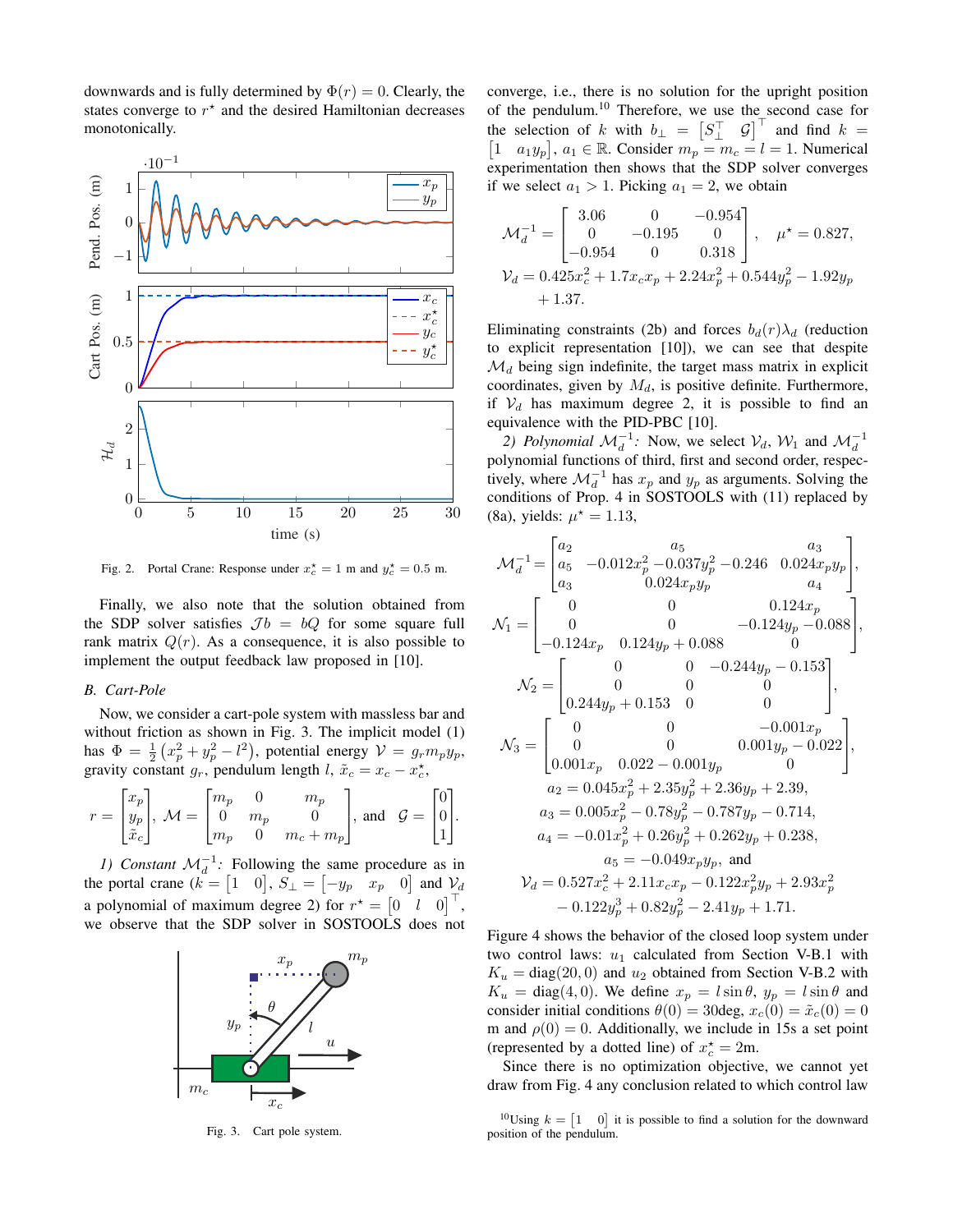downwards and is fully determined by  $\Phi(r) = 0$ . Clearly, the states converge to  $r^*$  and the desired Hamiltonian decreases monotonically.



Fig. 2. Portal Crane: Response under  $x_c^* = 1$  m and  $y_c^* = 0.5$  m.

Finally, we also note that the solution obtained from the SDP solver satisfies  $Jb = bQ$  for some square full rank matrix  $Q(r)$ . As a consequence, it is also possible to implement the output feedback law proposed in [10].

# *B. Cart-Pole*

Now, we consider a cart-pole system with massless bar and without friction as shown in Fig. 3. The implicit model (1) has  $\Phi = \frac{1}{2} (x_p^2 + y_p^2 - l^2)$ , potential energy  $\mathcal{V} = g_r m_p y_p$ , gravity constant  $g_r$ , pendulum length  $l$ ,  $\tilde{x}_c = x_c - x_c^*$ ,

$$
r = \begin{bmatrix} x_p \\ y_p \\ \tilde{x}_c \end{bmatrix}, \ \mathcal{M} = \begin{bmatrix} m_p & 0 & m_p \\ 0 & m_p & 0 \\ m_p & 0 & m_c + m_p \end{bmatrix}, \ \text{and} \quad \mathcal{G} = \begin{bmatrix} 0 \\ 0 \\ 1 \end{bmatrix}.
$$

*1)* Constant  $\mathcal{M}_d^{-1}$ : Following the same procedure as in the portal crane  $(k = \begin{bmatrix} 1 & 0 \end{bmatrix}, S_{\perp} = \begin{bmatrix} -y_p & x_p & 0 \end{bmatrix}$  and  $\mathcal{V}_d$ a polynomial of maximum degree 2) for  $r^* = \begin{bmatrix} 0 & l & 0 \end{bmatrix}^\top$ , we observe that the SDP solver in SOSTOOLS does not



Fig. 3. Cart pole system.

converge, i.e., there is no solution for the upright position of the pendulum.<sup>10</sup> Therefore, we use the second case for the selection of k with  $b_{\perp} = \begin{bmatrix} S_{\perp}^{\top} & \mathcal{G} \end{bmatrix}^{\top}$  and find  $k =$  $\begin{bmatrix} 1 & a_1y_p \end{bmatrix}$ ,  $a_1 \in \mathbb{R}$ . Consider  $m_p = m_c = l = 1$ . Numerical experimentation then shows that the SDP solver converges if we select  $a_1 > 1$ . Picking  $a_1 = 2$ , we obtain

$$
\mathcal{M}_d^{-1} = \begin{bmatrix} 3.06 & 0 & -0.954 \\ 0 & -0.195 & 0 \\ -0.954 & 0 & 0.318 \end{bmatrix}, \quad \mu^* = 0.827,
$$
  

$$
\mathcal{V}_d = 0.425x_c^2 + 1.7x_cx_p + 2.24x_p^2 + 0.544y_p^2 - 1.92y_p
$$
  
+ 1.37.

Eliminating constraints (2b) and forces  $b_d(r)\lambda_d$  (reduction to explicit representation [10]), we can see that despite  $\mathcal{M}_d$  being sign indefinite, the target mass matrix in explicit coordinates, given by  $M_d$ , is positive definite. Furthermore, if  $V_d$  has maximum degree 2, it is possible to find an equivalence with the PID-PBC [10].

2) Polynomial  $\mathcal{M}_d^{-1}$ : Now, we select  $\mathcal{V}_d$ ,  $\mathcal{W}_1$  and  $\mathcal{M}_d^{-1}$ polynomial functions of third, first and second order, respectively, where  $\mathcal{M}_d^{-1}$  has  $x_p$  and  $y_p$  as arguments. Solving the conditions of Prop. 4 in SOSTOOLS with (11) replaced by (8a), yields:  $\mu^* = 1.13$ ,

$$
\mathcal{M}_d^{-1} = \begin{bmatrix} a_2 & a_5 & a_3 \\ a_5 & -0.012x_p^2 - 0.037y_p^2 - 0.246 & 0.024x_py_p \\ a_3 & 0.024x_py_p & a_4 \end{bmatrix},
$$
  
\n
$$
\mathcal{N}_1 = \begin{bmatrix} 0 & 0 & 0.124x_p \\ 0 & 0 & -0.124y_p - 0.088 \\ -0.124x_p & 0.124y_p + 0.088 & 0 \end{bmatrix},
$$
  
\n
$$
\mathcal{N}_2 = \begin{bmatrix} 0 & 0 & -0.244y_p - 0.153 \\ 0 & 0 & 0 \\ 0.244y_p + 0.153 & 0 & 0 \end{bmatrix},
$$
  
\n
$$
\mathcal{N}_3 = \begin{bmatrix} 0 & 0 & -0.001x_p \\ 0 & 0 & 0.001y_p - 0.022 \\ 0.001x_p & 0.022 - 0.001y_p & 0 \end{bmatrix},
$$
  
\n
$$
a_2 = 0.045x_p^2 + 2.35y_p^2 + 2.36y_p + 2.39,
$$
  
\n
$$
a_3 = 0.005x_p^2 - 0.78y_p^2 - 0.787y_p - 0.714,
$$
  
\n
$$
a_4 = -0.01x_p^2 + 0.26y_p^2 + 0.262y_p + 0.238,
$$
  
\n
$$
a_5 = -0.049x_py_p,
$$
 and  
\n
$$
\mathcal{V}_d = 0.527x_c^2 + 2.11x_cx_p - 0.122x_p^2y_p + 2.93x_p^2
$$
  
\n
$$
-0.122y_p^3 + 0.82y_p^2 - 2.41y_p + 1.71.
$$

Figure 4 shows the behavior of the closed loop system under two control laws:  $u_1$  calculated from Section V-B.1 with  $K_u = \text{diag}(20, 0)$  and  $u_2$  obtained from Section V-B.2 with  $K_u = \text{diag}(4, 0)$ . We define  $x_p = l \sin \theta$ ,  $y_p = l \sin \theta$  and consider initial conditions  $\theta(0) = 30$ deg,  $x_c(0) = \tilde{x}_c(0) = 0$ m and  $\rho(0) = 0$ . Additionally, we include in 15s a set point (represented by a dotted line) of  $x_c^* = 2m$ .

Since there is no optimization objective, we cannot yet draw from Fig. 4 any conclusion related to which control law

<sup>&</sup>lt;sup>10</sup>Using  $k = \begin{bmatrix} 1 & 0 \end{bmatrix}$  it is possible to find a solution for the downward position of the pendulum.